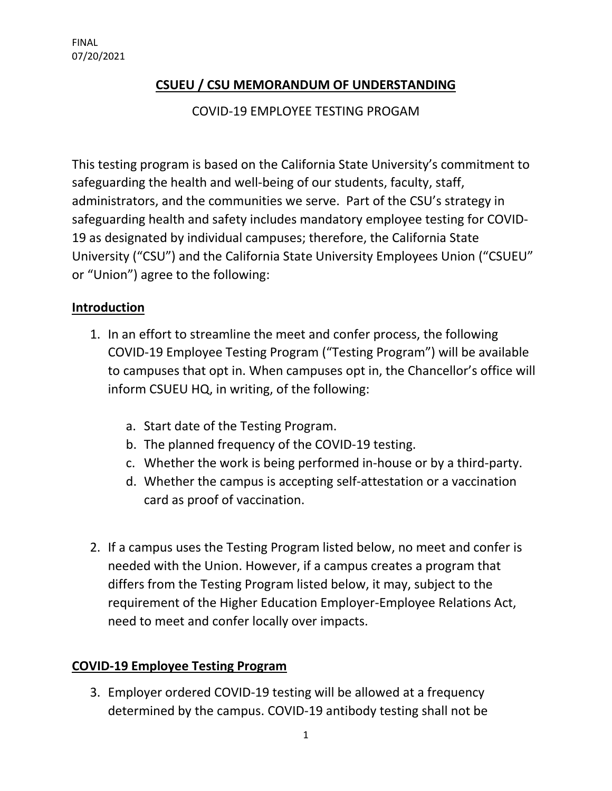## **CSUEU / CSU MEMORANDUM OF UNDERSTANDING**

COVID-19 EMPLOYEE TESTING PROGAM

This testing program is based on the California State University's commitment to safeguarding the health and well-being of our students, faculty, staff, administrators, and the communities we serve. Part of the CSU's strategy in safeguarding health and safety includes mandatory employee testing for COVID-19 as designated by individual campuses; therefore, the California State University ("CSU") and the California State University Employees Union ("CSUEU" or "Union") agree to the following:

## **Introduction**

- 1. In an effort to streamline the meet and confer process, the following COVID-19 Employee Testing Program ("Testing Program") will be available to campuses that opt in. When campuses opt in, the Chancellor's office will inform CSUEU HQ, in writing, of the following:
	- a. Start date of the Testing Program.
	- b. The planned frequency of the COVID-19 testing.
	- c. Whether the work is being performed in-house or by a third-party.
	- d. Whether the campus is accepting self-attestation or a vaccination card as proof of vaccination.
- 2. If a campus uses the Testing Program listed below, no meet and confer is needed with the Union. However, if a campus creates a program that differs from the Testing Program listed below, it may, subject to the requirement of the Higher Education Employer-Employee Relations Act, need to meet and confer locally over impacts.

## **COVID-19 Employee Testing Program**

3. Employer ordered COVID-19 testing will be allowed at a frequency determined by the campus. COVID-19 antibody testing shall not be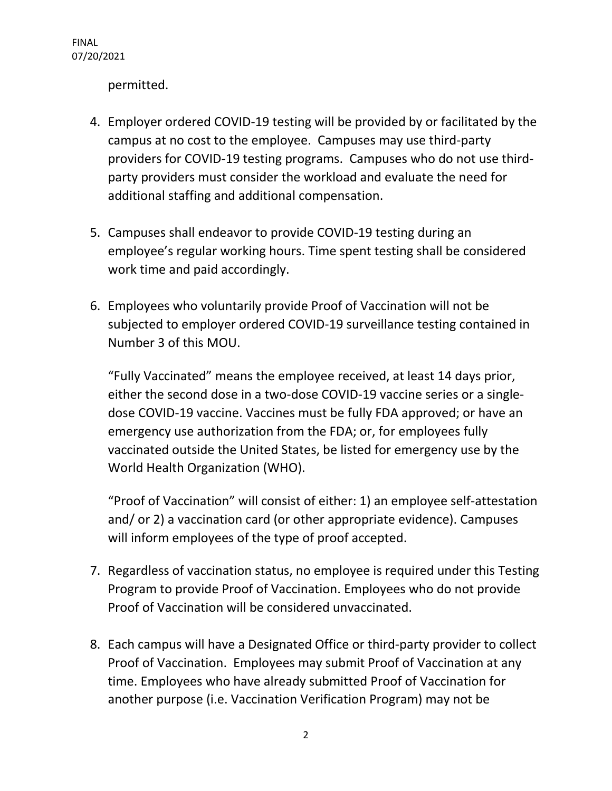permitted.

- 4. Employer ordered COVID-19 testing will be provided by or facilitated by the campus at no cost to the employee. Campuses may use third-party providers for COVID-19 testing programs. Campuses who do not use thirdparty providers must consider the workload and evaluate the need for additional staffing and additional compensation.
- 5. Campuses shall endeavor to provide COVID-19 testing during an employee's regular working hours. Time spent testing shall be considered work time and paid accordingly.
- 6. Employees who voluntarily provide Proof of Vaccination will not be subjected to employer ordered COVID-19 surveillance testing contained in Number 3 of this MOU.

"Fully Vaccinated" means the employee received, at least 14 days prior, either the second dose in a two-dose COVID-19 vaccine series or a singledose COVID-19 vaccine. Vaccines must be fully FDA approved; or have an emergency use authorization from the FDA; or, for employees fully vaccinated outside the United States, be listed for emergency use by the World Health Organization (WHO).

"Proof of Vaccination" will consist of either: 1) an employee self-attestation and/ or 2) a vaccination card (or other appropriate evidence). Campuses will inform employees of the type of proof accepted.

- 7. Regardless of vaccination status, no employee is required under this Testing Program to provide Proof of Vaccination. Employees who do not provide Proof of Vaccination will be considered unvaccinated.
- 8. Each campus will have a Designated Office or third-party provider to collect Proof of Vaccination. Employees may submit Proof of Vaccination at any time. Employees who have already submitted Proof of Vaccination for another purpose (i.e. Vaccination Verification Program) may not be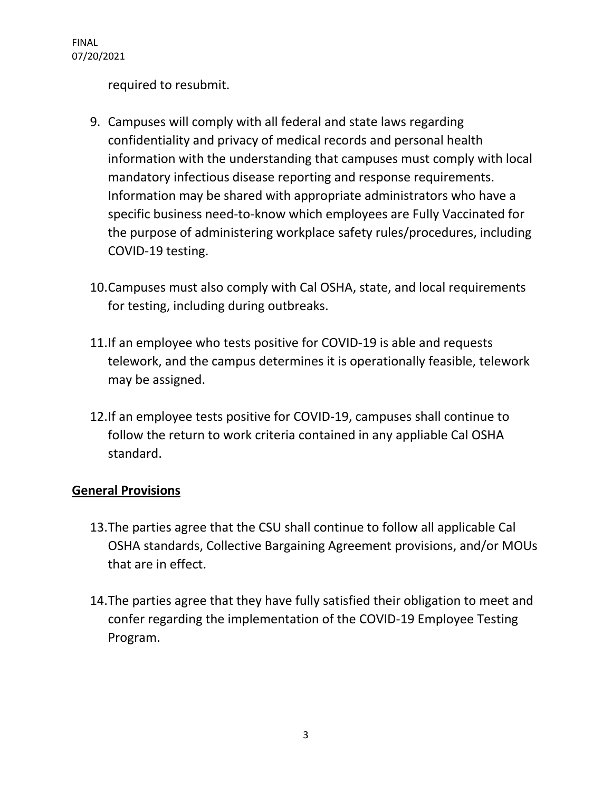FINAL 07/20/2021

required to resubmit.

- 9. Campuses will comply with all federal and state laws regarding confidentiality and privacy of medical records and personal health information with the understanding that campuses must comply with local mandatory infectious disease reporting and response requirements. Information may be shared with appropriate administrators who have a specific business need-to-know which employees are Fully Vaccinated for the purpose of administering workplace safety rules/procedures, including COVID-19 testing.
- 10.Campuses must also comply with Cal OSHA, state, and local requirements for testing, including during outbreaks.
- 11.If an employee who tests positive for COVID-19 is able and requests telework, and the campus determines it is operationally feasible, telework may be assigned.
- 12.If an employee tests positive for COVID-19, campuses shall continue to follow the return to work criteria contained in any appliable Cal OSHA standard.

## **General Provisions**

- 13.The parties agree that the CSU shall continue to follow all applicable Cal OSHA standards, Collective Bargaining Agreement provisions, and/or MOUs that are in effect.
- 14.The parties agree that they have fully satisfied their obligation to meet and confer regarding the implementation of the COVID-19 Employee Testing Program.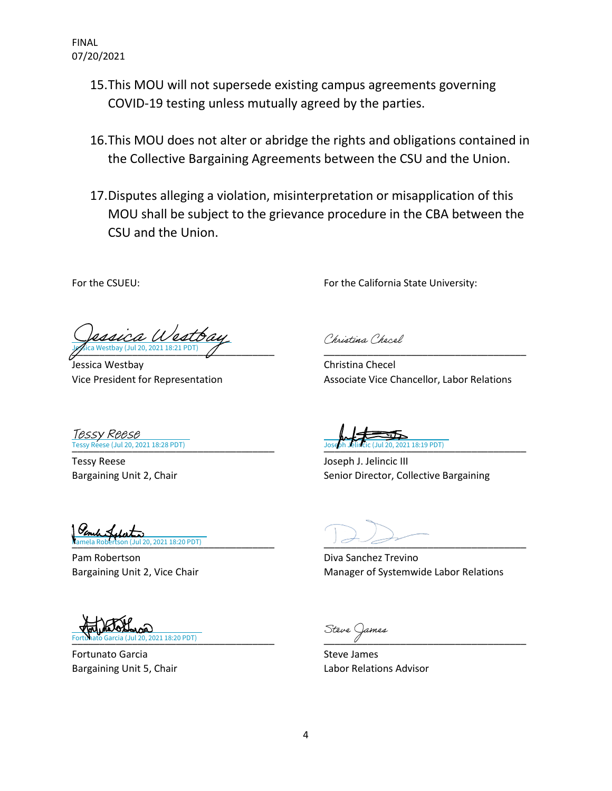FINAL 07/20/2021

- 15.This MOU will not supersede existing campus agreements governing COVID-19 testing unless mutually agreed by the parties.
- 16.This MOU does not alter or abridge the rights and obligations contained in the Collective Bargaining Agreements between the CSU and the Union.
- 17.Disputes alleging a violation, misinterpretation or misapplication of this MOU shall be subject to the grievance procedure in the CBA between the CSU and the Union.

For the CSUEU: For the California State University:

\_\_\_\_\_\_\_\_\_\_\_\_\_\_\_\_\_\_\_\_\_\_\_\_\_\_\_\_\_\_\_\_\_\_\_\_\_ [\\_\\_\\_\\_\\_\\_\\_\\_\\_\\_\\_\\_\\_\\_\\_\\_\\_\\_\\_\\_\\_\\_\\_\\_\\_\\_\\_\\_\\_\\_\\_\\_\\_\\_\\_\\_\\_](https://calstate.na1.documents.adobe.com/verifier?tx=CBJCHBCAABAA9vT4xRSki-iTHfP0DeprAikzRIlSNBYr) [Jessica Westbay](https://na1.documents.adobe.com/verifier?tx=CBJCHBCAABAA9vT4xRSki-iTHfP0DeprAikzRIlSNBYr)

Jessica Westbay Christina Checel

Christina Checel

Vice President for Representation Associate Vice Chancellor, Labor Relations

21 18:19 PDT)

[\\_\\_\\_\\_\\_\\_\\_\\_\\_\\_\\_\\_\\_\\_\\_\\_\\_\\_\\_\\_\\_\\_\\_\\_\\_\\_\\_\\_\\_\\_\\_\\_\\_\\_\\_\\_\\_](https://calstate.na1.documents.adobe.com/verifier?tx=CBJCHBCAABAA9vT4xRSki-iTHfP0DeprAikzRIlSNBYr) [\\_\\_\\_\\_\\_\\_\\_\\_\\_\\_\\_\\_\\_\\_\\_\\_\\_\\_\\_\\_\\_\\_\\_\\_\\_\\_\\_\\_\\_\\_\\_\\_\\_\\_\\_\\_\\_](https://calstate.na1.documents.adobe.com/verifier?tx=CBJCHBCAABAA9vT4xRSki-iTHfP0DeprAikzRIlSNBYr) Tessy Reese (Jul 20, 2021 18:28 PDT) Tessy Reese

Tessy Reese Joseph J. Jelincic III Bargaining Unit 2, Chair Senior Director, Collective Bargaining

[\\_\\_\\_\\_\\_\\_\\_\\_\\_\\_\\_\\_\\_\\_\\_\\_\\_\\_\\_\\_\\_\\_\\_\\_\\_\\_\\_\\_\\_\\_\\_\\_\\_\\_\\_\\_\\_](https://adobefreeuserschannel.na1.documents.adobe.com/verifier?tx=CBJCHBCAABAA9vT4xRSki-iTHfP0DeprAikzRIlSNBYr) [\\_\\_\\_\\_\\_\\_\\_\\_\\_\\_\\_\\_\\_\\_\\_\\_\\_\\_\\_\\_\\_\\_\\_\\_\\_\\_\\_\\_\\_\\_\\_\\_\\_\\_\\_\\_\\_](https://calstate.na1.documents.adobe.com/verifier?tx=CBJCHBCAABAA9vT4xRSki-iTHfP0DeprAikzRIlSNBYr) Pamela Robertson (Jul 20, 2021 18:20 PDT)

Pam Robertson **Diva Sanchez Trevino** 

Bargaining Unit 2, Vice Chair Manager of Systemwide Labor Relations

[\\_\\_\\_\\_\\_\\_\\_\\_\\_\\_\\_\\_\\_\\_\\_\\_\\_\\_\\_\\_\\_\\_\\_\\_\\_\\_\\_\\_\\_\\_\\_\\_\\_\\_\\_\\_\\_](https://adobefreeuserschannel.na1.documents.adobe.com/verifier?tx=CBJCHBCAABAA9vT4xRSki-iTHfP0DeprAikzRIlSNBYr) [\\_\\_\\_\\_\\_\\_\\_\\_\\_\\_\\_\\_\\_\\_\\_\\_\\_\\_\\_\\_\\_\\_\\_\\_\\_\\_\\_\\_\\_\\_\\_\\_\\_\\_\\_\\_\\_](https://calstate.na1.documents.adobe.com/verifier?tx=CBJCHBCAABAA9vT4xRSki-iTHfP0DeprAikzRIlSNBYr) 021 18:20 PDT)

Fortunato Garcia **Steve James** Steve James

Bargaining Unit 5, Chair **Labor Relations Advisor** Labor Relations Advisor